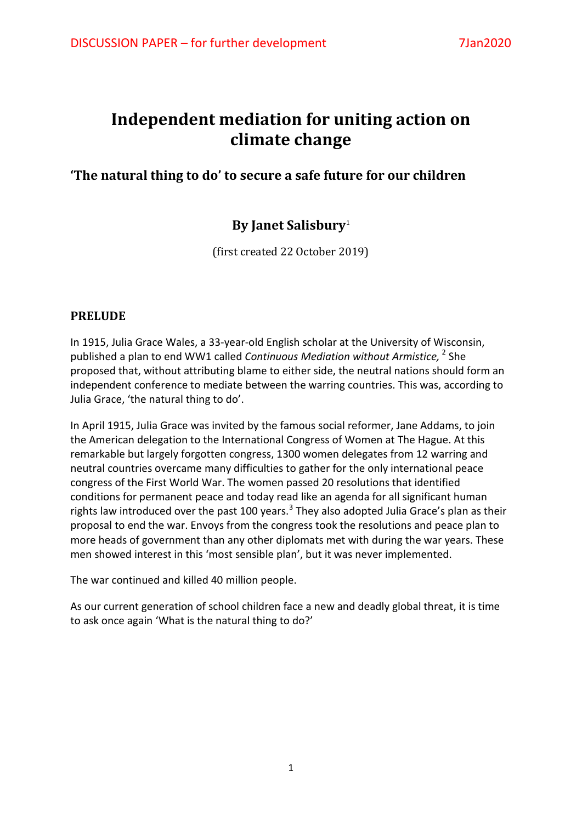# **Independent mediation for uniting action on climate change**

**'The natural thing to do' to secure a safe future for our children**

# **By Janet Salisbury**[1](#page-7-0)

(first created 22 October 2019)

### **PRELUDE**

In 1915, Julia Grace Wales, a 33-year-old English scholar at the University of Wisconsin, published a plan to end WW1 called *Continuous Mediation without Armistice,* [2](#page-7-1) She proposed that, without attributing blame to either side, the neutral nations should form an independent conference to mediate between the warring countries. This was, according to Julia Grace, 'the natural thing to do'.

In April 1915, Julia Grace was invited by the famous social reformer, Jane Addams, to join the American delegation to the International Congress of Women at The Hague. At this remarkable but largely forgotten congress, 1300 women delegates from 12 warring and neutral countries overcame many difficulties to gather for the only international peace congress of the First World War. The women passed 20 resolutions that identified conditions for permanent peace and today read like an agenda for all significant human rights law introduced over the past 100 years.<sup>[3](#page-7-2)</sup> They also adopted Julia Grace's plan as their proposal to end the war. Envoys from the congress took the resolutions and peace plan to more heads of government than any other diplomats met with during the war years. These men showed interest in this 'most sensible plan', but it was never implemented.

The war continued and killed 40 million people.

As our current generation of school children face a new and deadly global threat, it is time to ask once again 'What is the natural thing to do?'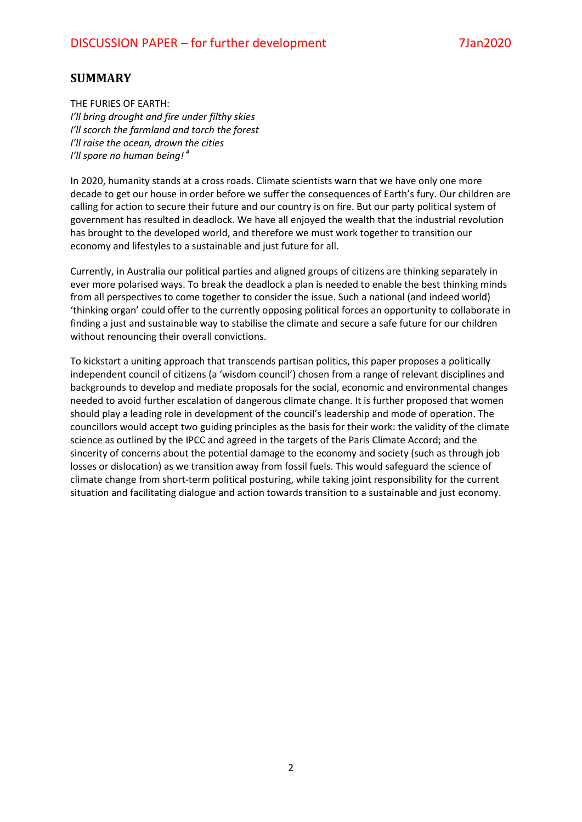#### **SUMMARY**

THE FURIES OF EARTH: *I'll bring drought and fire under filthy skies I'll scorch the farmland and torch the forest I'll raise the ocean, drown the cities I'll spare no human being! [4](#page-7-3)* 

In 2020, humanity stands at a cross roads. Climate scientists warn that we have only one more decade to get our house in order before we suffer the consequences of Earth's fury. Our children are calling for action to secure their future and our country is on fire. But our party political system of government has resulted in deadlock. We have all enjoyed the wealth that the industrial revolution has brought to the developed world, and therefore we must work together to transition our economy and lifestyles to a sustainable and just future for all.

Currently, in Australia our political parties and aligned groups of citizens are thinking separately in ever more polarised ways. To break the deadlock a plan is needed to enable the best thinking minds from all perspectives to come together to consider the issue. Such a national (and indeed world) 'thinking organ' could offer to the currently opposing political forces an opportunity to collaborate in finding a just and sustainable way to stabilise the climate and secure a safe future for our children without renouncing their overall convictions.

To kickstart a uniting approach that transcends partisan politics, this paper proposes a politically independent council of citizens (a 'wisdom council') chosen from a range of relevant disciplines and backgrounds to develop and mediate proposals for the social, economic and environmental changes needed to avoid further escalation of dangerous climate change. It is further proposed that women should play a leading role in development of the council's leadership and mode of operation. The councillors would accept two guiding principles as the basis for their work: the validity of the climate science as outlined by the IPCC and agreed in the targets of the Paris Climate Accord; and the sincerity of concerns about the potential damage to the economy and society (such as through job losses or dislocation) as we transition away from fossil fuels. This would safeguard the science of climate change from short-term political posturing, while taking joint responsibility for the current situation and facilitating dialogue and action towards transition to a sustainable and just economy.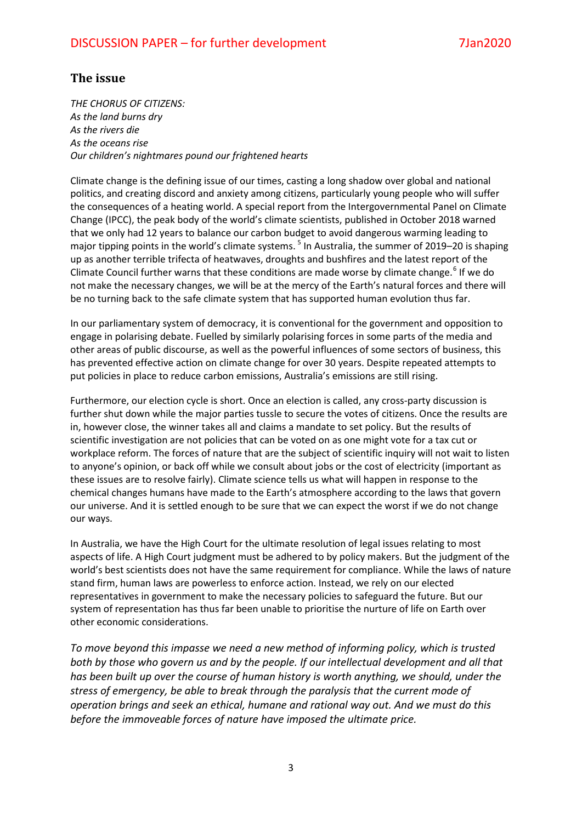### **The issue**

*THE CHORUS OF CITIZENS: As the land burns dry As the rivers die As the oceans rise Our children's nightmares pound our frightened hearts*

Climate change is the defining issue of our times, casting a long shadow over global and national politics, and creating discord and anxiety among citizens, particularly young people who will suffer the consequences of a heating world. A special report from the Intergovernmental Panel on Climate Change (IPCC), the peak body of the world's climate scientists, published in October 2018 warned that we only had 12 years to balance our carbon budget to avoid dangerous warming leading to major tipping points in the world's climate systems.<sup>[5](#page-7-4)</sup> In Australia, the summer of 2019–20 is shaping up as another terrible trifecta of heatwaves, droughts and bushfires and the latest report of the Climate Council further warns that these conditions are made worse by climate change.<sup>[6](#page-7-5)</sup> If we do not make the necessary changes, we will be at the mercy of the Earth's natural forces and there will be no turning back to the safe climate system that has supported human evolution thus far.

In our parliamentary system of democracy, it is conventional for the government and opposition to engage in polarising debate. Fuelled by similarly polarising forces in some parts of the media and other areas of public discourse, as well as the powerful influences of some sectors of business, this has prevented effective action on climate change for over 30 years. Despite repeated attempts to put policies in place to reduce carbon emissions, Australia's emissions are still rising.

Furthermore, our election cycle is short. Once an election is called, any cross-party discussion is further shut down while the major parties tussle to secure the votes of citizens. Once the results are in, however close, the winner takes all and claims a mandate to set policy. But the results of scientific investigation are not policies that can be voted on as one might vote for a tax cut or workplace reform. The forces of nature that are the subject of scientific inquiry will not wait to listen to anyone's opinion, or back off while we consult about jobs or the cost of electricity (important as these issues are to resolve fairly). Climate science tells us what will happen in response to the chemical changes humans have made to the Earth's atmosphere according to the laws that govern our universe. And it is settled enough to be sure that we can expect the worst if we do not change our ways.

In Australia, we have the High Court for the ultimate resolution of legal issues relating to most aspects of life. A High Court judgment must be adhered to by policy makers. But the judgment of the world's best scientists does not have the same requirement for compliance. While the laws of nature stand firm, human laws are powerless to enforce action. Instead, we rely on our elected representatives in government to make the necessary policies to safeguard the future. But our system of representation has thus far been unable to prioritise the nurture of life on Earth over other economic considerations.

*To move beyond this impasse we need a new method of informing policy, which is trusted both by those who govern us and by the people. If our intellectual development and all that has been built up over the course of human history is worth anything, we should, under the stress of emergency, be able to break through the paralysis that the current mode of operation brings and seek an ethical, humane and rational way out. And we must do this before the immoveable forces of nature have imposed the ultimate price.*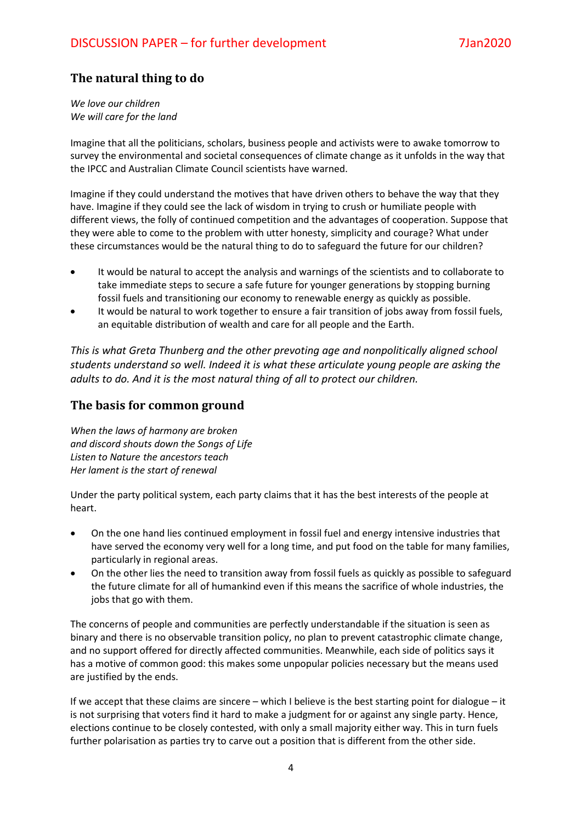# **The natural thing to do**

*We love our children We will care for the land*

Imagine that all the politicians, scholars, business people and activists were to awake tomorrow to survey the environmental and societal consequences of climate change as it unfolds in the way that the IPCC and Australian Climate Council scientists have warned.

Imagine if they could understand the motives that have driven others to behave the way that they have. Imagine if they could see the lack of wisdom in trying to crush or humiliate people with different views, the folly of continued competition and the advantages of cooperation. Suppose that they were able to come to the problem with utter honesty, simplicity and courage? What under these circumstances would be the natural thing to do to safeguard the future for our children?

- It would be natural to accept the analysis and warnings of the scientists and to collaborate to take immediate steps to secure a safe future for younger generations by stopping burning fossil fuels and transitioning our economy to renewable energy as quickly as possible.
- It would be natural to work together to ensure a fair transition of jobs away from fossil fuels, an equitable distribution of wealth and care for all people and the Earth.

*This is what Greta Thunberg and the other prevoting age and nonpolitically aligned school students understand so well. Indeed it is what these articulate young people are asking the adults to do. And it is the most natural thing of all to protect our children.* 

#### **The basis for common ground**

*When the laws of harmony are broken and discord shouts down the Songs of Life Listen to Nature the ancestors teach Her lament is the start of renewal*

Under the party political system, each party claims that it has the best interests of the people at heart.

- On the one hand lies continued employment in fossil fuel and energy intensive industries that have served the economy very well for a long time, and put food on the table for many families, particularly in regional areas.
- On the other lies the need to transition away from fossil fuels as quickly as possible to safeguard the future climate for all of humankind even if this means the sacrifice of whole industries, the jobs that go with them.

The concerns of people and communities are perfectly understandable if the situation is seen as binary and there is no observable transition policy, no plan to prevent catastrophic climate change, and no support offered for directly affected communities. Meanwhile, each side of politics says it has a motive of common good: this makes some unpopular policies necessary but the means used are justified by the ends.

If we accept that these claims are sincere – which I believe is the best starting point for dialogue – it is not surprising that voters find it hard to make a judgment for or against any single party. Hence, elections continue to be closely contested, with only a small majority either way. This in turn fuels further polarisation as parties try to carve out a position that is different from the other side.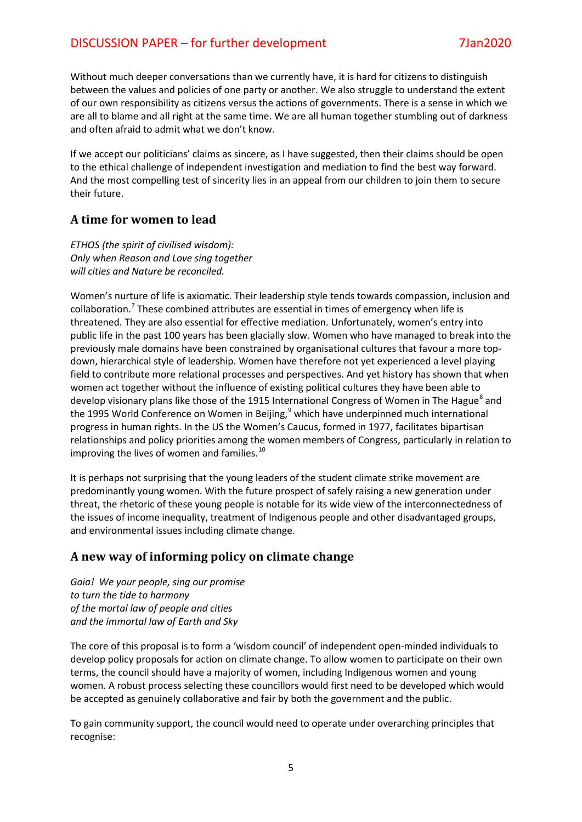#### DISCUSSION PAPER – for further development 7Jan2020

Without much deeper conversations than we currently have, it is hard for citizens to distinguish between the values and policies of one party or another. We also struggle to understand the extent of our own responsibility as citizens versus the actions of governments. There is a sense in which we are all to blame and all right at the same time. We are all human together stumbling out of darkness and often afraid to admit what we don't know.

If we accept our politicians' claims as sincere, as I have suggested, then their claims should be open to the ethical challenge of independent investigation and mediation to find the best way forward. And the most compelling test of sincerity lies in an appeal from our children to join them to secure their future.

#### **A time for women to lead**

*ETHOS (the spirit of civilised wisdom): Only when Reason and Love sing together will cities and Nature be reconciled.*

Women's nurture of life is axiomatic. Their leadership style tends towards compassion, inclusion and collaboration.<sup>[7](#page-7-6)</sup> These combined attributes are essential in times of emergency when life is threatened. They are also essential for effective mediation. Unfortunately, women's entry into public life in the past 100 years has been glacially slow. Women who have managed to break into the previously male domains have been constrained by organisational cultures that favour a more topdown, hierarchical style of leadership. Women have therefore not yet experienced a level playing field to contribute more relational processes and perspectives. And yet history has shown that when women act together without the influence of existing political cultures they have been able to develop visionary plans like those of the 1915 International Congress of Women in The Hague<sup>[8](#page-7-7)</sup> and the 1[9](#page-7-8)95 World Conference on Women in Beijing, $9$  which have underpinned much international progress in human rights. In the US the Women's Caucus, formed in 1977, facilitates bipartisan relationships and policy priorities among the women members of Congress, particularly in relation to improving the lives of women and families.<sup>[10](#page-7-9)</sup>

It is perhaps not surprising that the young leaders of the student climate strike movement are predominantly young women. With the future prospect of safely raising a new generation under threat, the rhetoric of these young people is notable for its wide view of the interconnectedness of the issues of income inequality, treatment of Indigenous people and other disadvantaged groups, and environmental issues including climate change.

#### **A new way of informing policy on climate change**

*Gaia! We your people, sing our promise to turn the tide to harmony of the mortal law of people and cities and the immortal law of Earth and Sky*

The core of this proposal is to form a 'wisdom council' of independent open-minded individuals to develop policy proposals for action on climate change. To allow women to participate on their own terms, the council should have a majority of women, including Indigenous women and young women. A robust process selecting these councillors would first need to be developed which would be accepted as genuinely collaborative and fair by both the government and the public.

To gain community support, the council would need to operate under overarching principles that recognise: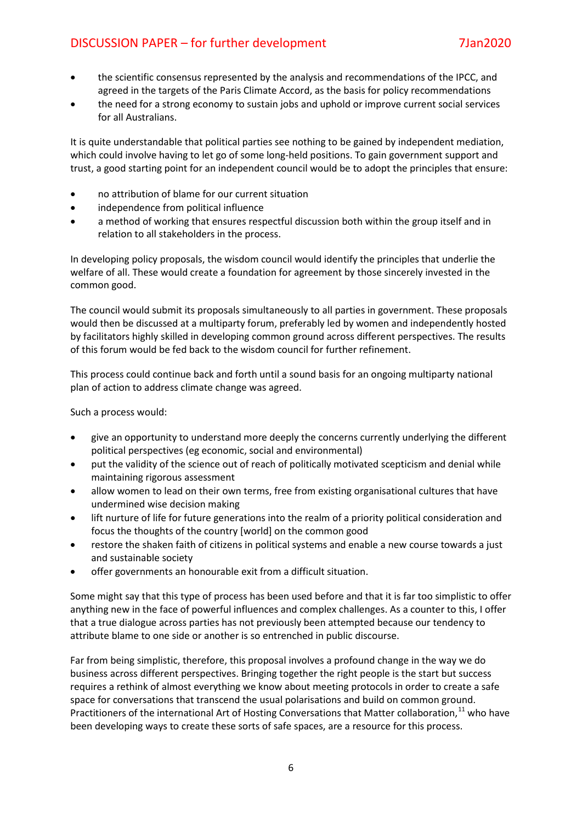# DISCUSSION PAPER – for further development 7Jan2020

- the scientific consensus represented by the analysis and recommendations of the IPCC, and agreed in the targets of the Paris Climate Accord, as the basis for policy recommendations
- the need for a strong economy to sustain jobs and uphold or improve current social services for all Australians.

It is quite understandable that political parties see nothing to be gained by independent mediation, which could involve having to let go of some long-held positions. To gain government support and trust, a good starting point for an independent council would be to adopt the principles that ensure:

- no attribution of blame for our current situation
- independence from political influence
- a method of working that ensures respectful discussion both within the group itself and in relation to all stakeholders in the process.

In developing policy proposals, the wisdom council would identify the principles that underlie the welfare of all. These would create a foundation for agreement by those sincerely invested in the common good.

The council would submit its proposals simultaneously to all parties in government. These proposals would then be discussed at a multiparty forum, preferably led by women and independently hosted by facilitators highly skilled in developing common ground across different perspectives. The results of this forum would be fed back to the wisdom council for further refinement.

This process could continue back and forth until a sound basis for an ongoing multiparty national plan of action to address climate change was agreed.

Such a process would:

- give an opportunity to understand more deeply the concerns currently underlying the different political perspectives (eg economic, social and environmental)
- put the validity of the science out of reach of politically motivated scepticism and denial while maintaining rigorous assessment
- allow women to lead on their own terms, free from existing organisational cultures that have undermined wise decision making
- lift nurture of life for future generations into the realm of a priority political consideration and focus the thoughts of the country [world] on the common good
- restore the shaken faith of citizens in political systems and enable a new course towards a just and sustainable society
- offer governments an honourable exit from a difficult situation.

Some might say that this type of process has been used before and that it is far too simplistic to offer anything new in the face of powerful influences and complex challenges. As a counter to this, I offer that a true dialogue across parties has not previously been attempted because our tendency to attribute blame to one side or another is so entrenched in public discourse.

Far from being simplistic, therefore, this proposal involves a profound change in the way we do business across different perspectives. Bringing together the right people is the start but success requires a rethink of almost everything we know about meeting protocols in order to create a safe space for conversations that transcend the usual polarisations and build on common ground. Practitioners of the international Art of Hosting Conversations that Matter collaboration,<sup>[11](#page-7-10)</sup> who have been developing ways to create these sorts of safe spaces, are a resource for this process.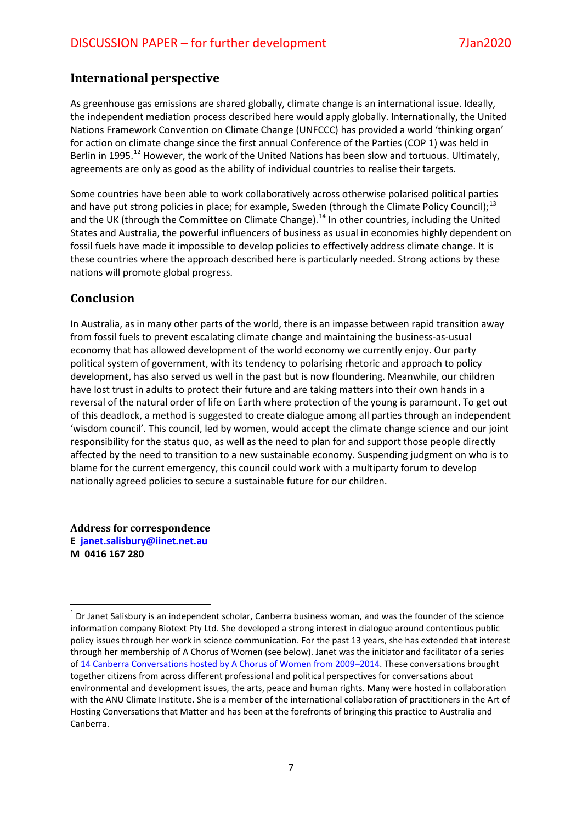#### **International perspective**

As greenhouse gas emissions are shared globally, climate change is an international issue. Ideally, the independent mediation process described here would apply globally. Internationally, the United Nations Framework Convention on Climate Change (UNFCCC) has provided a world 'thinking organ' for action on climate change since the first annual Conference of the Parties (COP 1) was held in Berlin in 1995.<sup>[12](#page-7-11)</sup> However, the work of the United Nations has been slow and tortuous. Ultimately, agreements are only as good as the ability of individual countries to realise their targets.

Some countries have been able to work collaboratively across otherwise polarised political parties and have put strong policies in place; for example, Sweden (through the Climate Policy Council);  $^{13}$  $^{13}$  $^{13}$ and the UK (through the Committee on Climate Change).<sup>[14](#page-7-13)</sup> In other countries, including the United States and Australia, the powerful influencers of business as usual in economies highly dependent on fossil fuels have made it impossible to develop policies to effectively address climate change. It is these countries where the approach described here is particularly needed. Strong actions by these nations will promote global progress.

#### **Conclusion**

In Australia, as in many other parts of the world, there is an impasse between rapid transition away from fossil fuels to prevent escalating climate change and maintaining the business-as-usual economy that has allowed development of the world economy we currently enjoy. Our party political system of government, with its tendency to polarising rhetoric and approach to policy development, has also served us well in the past but is now floundering. Meanwhile, our children have lost trust in adults to protect their future and are taking matters into their own hands in a reversal of the natural order of life on Earth where protection of the young is paramount. To get out of this deadlock, a method is suggested to create dialogue among all parties through an independent 'wisdom council'. This council, led by women, would accept the climate change science and our joint responsibility for the status quo, as well as the need to plan for and support those people directly affected by the need to transition to a new sustainable economy. Suspending judgment on who is to blame for the current emergency, this council could work with a multiparty forum to develop nationally agreed policies to secure a sustainable future for our children.

**Address for correspondence E [janet.salisbury@iinet.net.au](mailto:janet.salisbury@iinet.net.au) M 0416 167 280**

 $1$  Dr Janet Salisbury is an independent scholar, Canberra business woman, and was the founder of the science information company Biotext Pty Ltd. She developed a strong interest in dialogue around contentious public policy issues through her work in science communication. For the past 13 years, she has extended that interest through her membership of A Chorus of Women (see below). Janet was the initiator and facilitator of a series o[f 14 Canberra Conversations hosted by A Chorus of Women](https://www.chorusofwomen.org/dbpage.php?pg=Highlights#Conversations) from 2009–2014. These conversations brought together citizens from across different professional and political perspectives for conversations about environmental and development issues, the arts, peace and human rights. Many were hosted in collaboration with the ANU Climate Institute. She is a member of the international collaboration of practitioners in the Art of Hosting Conversations that Matter and has been at the forefronts of bringing this practice to Australia and Canberra.